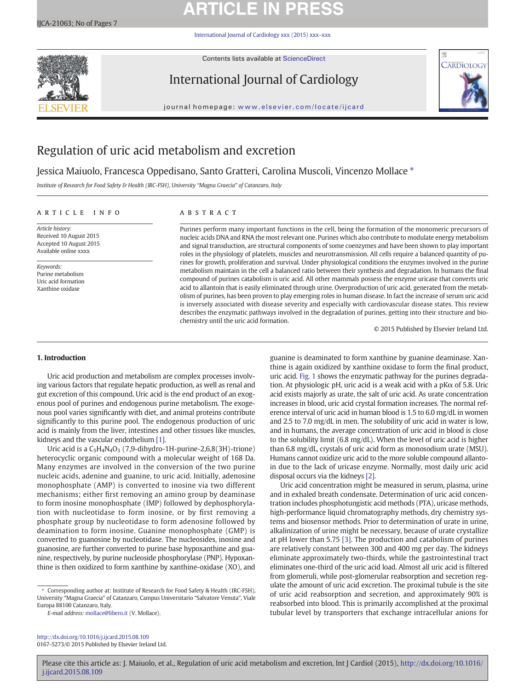# **ARTICLE IN PRESS**

[International Journal of Cardiology xxx \(2015\) xxx](http://dx.doi.org/10.1016/j.ijcard.2015.08.109)–xxx



Contents lists available at [ScienceDirect](http://www.sciencedirect.com/science/journal/01675273)

International Journal of Cardiology



journal homepage: <www.elsevier.com/locate/ijcard>

## Regulation of uric acid metabolism and excretion

### Jessica Maiuolo, Francesca Oppedisano, Santo Gratteri, Carolina Muscoli, Vincenzo Mollace \*

Institute of Research for Food Safety & Health (IRC-FSH), University "Magna Graecia" of Catanzaro, Italy

### article info abstract

Article history: Received 10 August 2015 Accepted 10 August 2015 Available online xxxx

Keywords: Purine metabolism Uric acid formation Xanthine oxidase

Purines perform many important functions in the cell, being the formation of the monomeric precursors of nucleic acids DNA and RNA the most relevant one. Purines which also contribute to modulate energy metabolism and signal transduction, are structural components of some coenzymes and have been shown to play important roles in the physiology of platelets, muscles and neurotransmission. All cells require a balanced quantity of purines for growth, proliferation and survival. Under physiological conditions the enzymes involved in the purine metabolism maintain in the cell a balanced ratio between their synthesis and degradation. In humans the final compound of purines catabolism is uric acid. All other mammals possess the enzyme uricase that converts uric acid to allantoin that is easily eliminated through urine. Overproduction of uric acid, generated from the metabolism of purines, has been proven to play emerging roles in human disease. In fact the increase of serum uric acid is inversely associated with disease severity and especially with cardiovascular disease states. This review describes the enzymatic pathways involved in the degradation of purines, getting into their structure and biochemistry until the uric acid formation.

© 2015 Published by Elsevier Ireland Ltd.

### 1. Introduction

Uric acid production and metabolism are complex processes involving various factors that regulate hepatic production, as well as renal and gut excretion of this compound. Uric acid is the end product of an exogenous pool of purines and endogenous purine metabolism. The exogenous pool varies significantly with diet, and animal proteins contribute significantly to this purine pool. The endogenous production of uric acid is mainly from the liver, intestines and other tissues like muscles, kidneys and the vascular endothelium [\[1\]](#page-5-0).

Uric acid is a  $C_5H_4N_4O_3$  (7,9-dihydro-1H-purine-2,6,8(3H)-trione) heterocyclic organic compound with a molecular weight of 168 Da. Many enzymes are involved in the conversion of the two purine nucleic acids, adenine and guanine, to uric acid. Initially, adenosine monophosphate (AMP) is converted to inosine via two different mechanisms; either first removing an amino group by deaminase to form inosine monophosphate (IMP) followed by dephosphorylation with nucleotidase to form inosine, or by first removing a phosphate group by nucleotidase to form adenosine followed by deamination to form inosine. Guanine monophosphate (GMP) is converted to guanosine by nucleotidase. The nucleosides, inosine and guanosine, are further converted to purine base hypoxanthine and guanine, respectively, by purine nucleoside phosphorylase (PNP). Hypoxanthine is then oxidized to form xanthine by xanthine-oxidase (XO), and

⁎ Corresponding author at: Institute of Research for Food Safety & Health (IRC-FSH), University "Magna Graecia" of Catanzaro, Campus Universitario "Salvatore Venuta", Viale Europa 88100 Catanzaro, Italy.

E-mail address: [mollace@libero.it](mailto:mollace@libero.it) (V. Mollace).

<http://dx.doi.org/10.1016/j.ijcard.2015.08.109> 0167-5273/© 2015 Published by Elsevier Ireland Ltd. guanine is deaminated to form xanthine by guanine deaminase. Xanthine is again oxidized by xanthine oxidase to form the final product, uric acid. [Fig. 1](#page-1-0) shows the enzymatic pathway for the purines degradation. At physiologic pH, uric acid is a weak acid with a pK $\alpha$  of 5.8. Uric acid exists majorly as urate, the salt of uric acid. As urate concentration increases in blood, uric acid crystal formation increases. The normal reference interval of uric acid in human blood is 1.5 to 6.0 mg/dL in women and 2.5 to 7.0 mg/dL in men. The solubility of uric acid in water is low, and in humans, the average concentration of uric acid in blood is close to the solubility limit (6.8 mg/dL). When the level of uric acid is higher than 6.8 mg/dL, crystals of uric acid form as monosodium urate (MSU). Humans cannot oxidize uric acid to the more soluble compound allantoin due to the lack of uricase enzyme. Normally, most daily uric acid disposal occurs via the kidneys [\[2\].](#page-5-0)

Uric acid concentration might be measured in serum, plasma, urine and in exhaled breath condensate. Determination of uric acid concentration includes phosphotungistic acid methods (PTA), uricase methods, high-performance liquid chromatography methods, dry chemistry systems and biosensor methods. Prior to determination of urate in urine, alkalinization of urine might be necessary, because of urate crystallize at pH lower than 5.75 [\[3\].](#page-5-0) The production and catabolism of purines are relatively constant between 300 and 400 mg per day. The kidneys eliminate approximately two-thirds, while the gastrointestinal tract eliminates one-third of the uric acid load. Almost all uric acid is filtered from glomeruli, while post-glomerular reabsorption and secretion regulate the amount of uric acid excretion. The proximal tubule is the site of uric acid reabsorption and secretion, and approximately 90% is reabsorbed into blood. This is primarily accomplished at the proximal tubular level by transporters that exchange intracellular anions for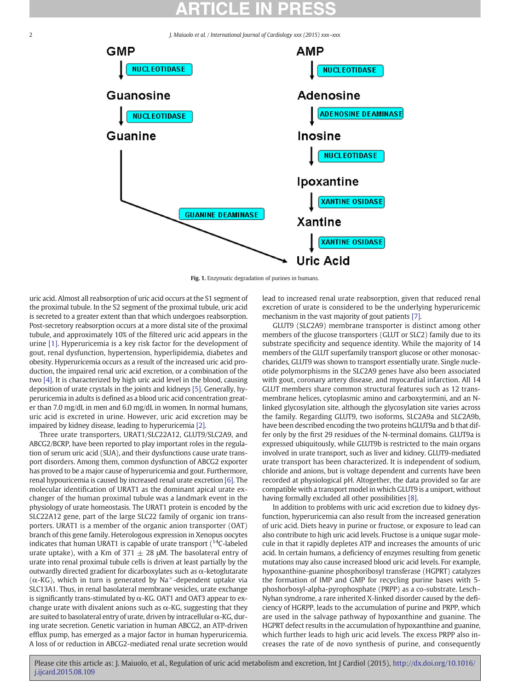<span id="page-1-0"></span>

Fig. 1. Enzymatic degradation of purines in humans.

uric acid. Almost all reabsorption of uric acid occurs at the S1 segment of the proximal tubule. In the S2 segment of the proximal tubule, uric acid is secreted to a greater extent than that which undergoes reabsorption. Post-secretory reabsorption occurs at a more distal site of the proximal tubule, and approximately 10% of the filtered uric acid appears in the urine [\[1\]](#page-5-0). Hyperuricemia is a key risk factor for the development of gout, renal dysfunction, hypertension, hyperlipidemia, diabetes and obesity. Hyperuricemia occurs as a result of the increased uric acid production, the impaired renal uric acid excretion, or a combination of the two [\[4\].](#page-5-0) It is characterized by high uric acid level in the blood, causing deposition of urate crystals in the joints and kidneys [\[5\]](#page-5-0). Generally, hyperuricemia in adults is defined as a blood uric acid concentration greater than 7.0 mg/dL in men and 6.0 mg/dL in women. In normal humans, uric acid is excreted in urine. However, uric acid excretion may be impaired by kidney disease, leading to hyperuricemia [\[2\].](#page-5-0)

Three urate transporters, URAT1/SLC22A12, GLUT9/SLC2A9, and ABCG2/BCRP, have been reported to play important roles in the regulation of serum uric acid (SUA), and their dysfunctions cause urate transport disorders. Among them, common dysfunction of ABCG2 exporter has proved to be a major cause of hyperuricemia and gout. Furthermore, renal hypouricemia is caused by increased renal urate excretion [\[6\]](#page-5-0). The molecular identification of URAT1 as the dominant apical urate exchanger of the human proximal tubule was a landmark event in the physiology of urate homeostasis. The URAT1 protein is encoded by the SLC22A12 gene, part of the large SLC22 family of organic ion transporters. URAT1 is a member of the organic anion transporter (OAT) branch of this gene family. Heterologous expression in Xenopus oocytes indicates that human URAT1 is capable of urate transport  $(14C$ -labeled urate uptake), with a Km of 371  $\pm$  28 µM. The basolateral entry of urate into renal proximal tubule cells is driven at least partially by the outwardly directed gradient for dicarboxylates such as α-ketoglutarate ( $\alpha$ -KG), which in turn is generated by Na<sup>+</sup>-dependent uptake via SLC13A1. Thus, in renal basolateral membrane vesicles, urate exchange is significantly trans-stimulated by  $\alpha$ -KG. OAT1 and OAT3 appear to exchange urate with divalent anions such as  $\alpha$ -KG, suggesting that they are suited to basolateral entry of urate, driven by intracellular  $\alpha$ -KG, during urate secretion. Genetic variation in human ABCG2, an ATP-driven efflux pump, has emerged as a major factor in human hyperuricemia. A loss of or reduction in ABCG2-mediated renal urate secretion would

lead to increased renal urate reabsorption, given that reduced renal excretion of urate is considered to be the underlying hyperuricemic mechanism in the vast majority of gout patients [\[7\]](#page-5-0).

GLUT9 (SLC2A9) membrane transporter is distinct among other members of the glucose transporters (GLUT or SLC2) family due to its substrate specificity and sequence identity. While the majority of 14 members of the GLUT superfamily transport glucose or other monosaccharides, GLUT9 was shown to transport essentially urate. Single nucleotide polymorphisms in the SLC2A9 genes have also been associated with gout, coronary artery disease, and myocardial infarction. All 14 GLUT members share common structural features such as 12 transmembrane helices, cytoplasmic amino and carboxytermini, and an Nlinked glycosylation site, although the glycosylation site varies across the family. Regarding GLUT9, two isoforms, SLC2A9a and SLC2A9b, have been described encoding the two proteins hGLUT9a and b that differ only by the first 29 residues of the N-terminal domains. GLUT9a is expressed ubiquitously, while GLUT9b is restricted to the main organs involved in urate transport, such as liver and kidney. GLUT9-mediated urate transport has been characterized. It is independent of sodium, chloride and anions, but is voltage dependent and currents have been recorded at physiological pH. Altogether, the data provided so far are compatible with a transport model in which GLUT9 is a uniport, without having formally excluded all other possibilities [\[8\]](#page-5-0).

In addition to problems with uric acid excretion due to kidney dysfunction, hyperuricemia can also result from the increased generation of uric acid. Diets heavy in purine or fructose, or exposure to lead can also contribute to high uric acid levels. Fructose is a unique sugar molecule in that it rapidly depletes ATP and increases the amounts of uric acid. In certain humans, a deficiency of enzymes resulting from genetic mutations may also cause increased blood uric acid levels. For example, hypoxanthine-guanine phosphoribosyl transferase (HGPRT) catalyzes the formation of IMP and GMP for recycling purine bases with 5 phoshorbosyl-alpha-pyrophosphate (PRPP) as a co-substrate. Lesch– Nyhan syndrome, a rare inherited X-linked disorder caused by the deficiency of HGRPP, leads to the accumulation of purine and PRPP, which are used in the salvage pathway of hypoxanthine and guanine. The HGPRT defect results in the accumulation of hypoxanthine and guanine, which further leads to high uric acid levels. The excess PRPP also increases the rate of de novo synthesis of purine, and consequently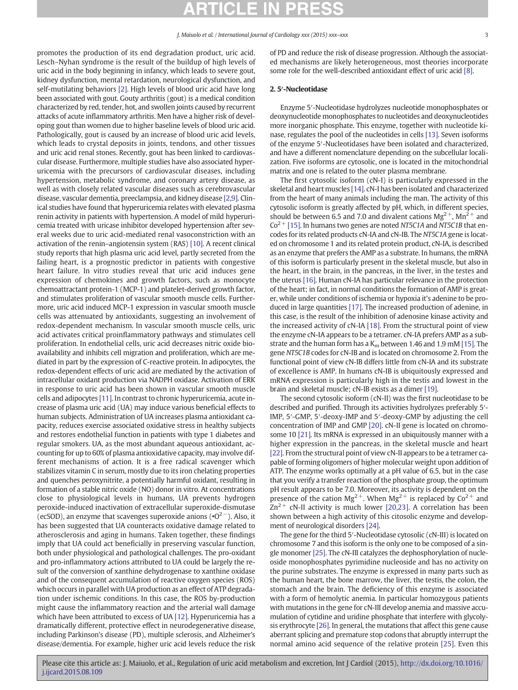promotes the production of its end degradation product, uric acid. Lesch–Nyhan syndrome is the result of the buildup of high levels of uric acid in the body beginning in infancy, which leads to severe gout, kidney dysfunction, mental retardation, neurological dysfunction, and self-mutilating behaviors [\[2\]](#page-5-0). High levels of blood uric acid have long been associated with gout. Gouty arthritis (gout) is a medical condition characterized by red, tender, hot, and swollen joints caused by recurrent attacks of acute inflammatory arthritis. Men have a higher risk of developing gout than women due to higher baseline levels of blood uric acid. Pathologically, gout is caused by an increase of blood uric acid levels, which leads to crystal deposits in joints, tendons, and other tissues and uric acid renal stones. Recently, gout has been linked to cardiovascular disease. Furthermore, multiple studies have also associated hyperuricemia with the precursors of cardiovascular diseases, including hypertension, metabolic syndrome, and coronary artery disease, as well as with closely related vascular diseases such as cerebrovascular disease, vascular dementia, preeclampsia, and kidney disease [\[2,9\]](#page-5-0). Clinical studies have found that hyperuricemia relates with elevated plasma renin activity in patients with hypertension. A model of mild hyperuricemia treated with uricase inhibitor developed hypertension after several weeks due to uric acid-mediated renal vasoconstriction with an activation of the renin–angiotensin system (RAS) [\[10\]](#page-5-0). A recent clinical study reports that high plasma uric acid level, partly secreted from the failing heart, is a prognostic predictor in patients with congestive heart failure. In vitro studies reveal that uric acid induces gene expression of chemokines and growth factors, such as monocyte chemoattractant protein-1 (MCP-1) and platelet-derived growth factor, and stimulates proliferation of vascular smooth muscle cells. Furthermore, uric acid induced MCP-1 expression in vascular smooth muscle cells was attenuated by antioxidants, suggesting an involvement of redox-dependent mechanism. In vascular smooth muscle cells, uric acid activates critical proinflammatory pathways and stimulates cell proliferation. In endothelial cells, uric acid decreases nitric oxide bioavailability and inhibits cell migration and proliferation, which are mediated in part by the expression of C-reactive protein. In adipocytes, the redox-dependent effects of uric acid are mediated by the activation of intracellular oxidant production via NADPH oxidase. Activation of ERK in response to uric acid has been shown in vascular smooth muscle cells and adipocytes [\[11\]](#page-5-0). In contrast to chronic hyperuricemia, acute increase of plasma uric acid (UA) may induce various beneficial effects to human subjects. Administration of UA increases plasma antioxidant capacity, reduces exercise associated oxidative stress in healthy subjects and restores endothelial function in patients with type 1 diabetes and regular smokers. UA, as the most abundant aqueous antioxidant, accounting for up to 60% of plasma antioxidative capacity, may involve different mechanisms of action. It is a free radical scavenger which stabilizes vitamin C in serum, mostly due to its iron chelating properties and quenches peroxynitrite, a potentially harmful oxidant, resulting in formation of a stable nitric oxide (NO) donor in vitro. At concentrations close to physiological levels in humans, UA prevents hydrogen peroxide-induced inactivation of extracellular superoxide-dismutase (ecSOD), an enzyme that scavenges superoxide anions  $(\cdot 0^{2}$ ). Also, it has been suggested that UA counteracts oxidative damage related to atherosclerosis and aging in humans. Taken together, these findings imply that UA could act beneficially in preserving vascular function, both under physiological and pathological challenges. The pro-oxidant and pro-inflammatory actions attributed to UA could be largely the result of the conversion of xanthine dehydrogenase to xanthine oxidase and of the consequent accumulation of reactive oxygen species (ROS) which occurs in parallel with UA production as an effect of ATP degradation under ischemic conditions. In this case, the ROS by-production might cause the inflammatory reaction and the arterial wall damage which have been attributed to excess of UA [\[12\]](#page-5-0). Hyperuricemia has a dramatically different, protective effect in neurodegenerative disease, including Parkinson's disease (PD), multiple sclerosis, and Alzheimer's disease/dementia. For example, higher uric acid levels reduce the risk of PD and reduce the risk of disease progression. Although the associated mechanisms are likely heterogeneous, most theories incorporate some role for the well-described antioxidant effect of uric acid [\[8\]](#page-5-0).

### 2. 5′-Nucleotidase

Enzyme 5′-Nucleotidase hydrolyzes nucleotide monophosphates or deoxynucleotide monophosphates to nucleotides and deoxynucleotides more inorganic phosphate. This enzyme, together with nucleotide kinase, regulates the pool of the nucleotides in cells [\[13\].](#page-5-0) Seven isoforms of the enzyme 5′-Nucleotidases have been isolated and characterized, and have a different nomenclature depending on the subcellular localization. Five isoforms are cytosolic, one is located in the mitochondrial matrix and one is related to the outer plasma membrane.

The first cytosolic isoform (cN-I) is particularly expressed in the skeletal and heart muscles [\[14\]](#page-5-0). cN-I has been isolated and characterized from the heart of many animals including the man. The activity of this cytosolic isoform is greatly affected by pH, which, in different species, should be between 6.5 and 7.0 and divalent cations  $Mg^{2+}$ ,  $Mn^{2+}$  and  $Co<sup>2+</sup>$  [\[15\]](#page-5-0). In humans two genes are noted NT5C1A and NT5C1B that encodes for its related products cN-IA and cN-IB. The NT5C1A gene is located on chromosome 1 and its related protein product, cN-IA, is described as an enzyme that prefers the AMP as a substrate. In humans, the mRNA of this isoform is particularly present in the skeletal muscle, but also in the heart, in the brain, in the pancreas, in the liver, in the testes and the uterus [\[16\].](#page-5-0) Human cN-IA has particular relevance in the protection of the heart; in fact, in normal conditions the formation of AMP is greater, while under conditions of ischemia or hypoxia it's adenine to be produced in large quantities [\[17\].](#page-5-0) The increased production of adenine, in this case, is the result of the inhibition of adenosine kinase activity and the increased activity of cN-IA [\[18\].](#page-5-0) From the structural point of view the enzyme cN-IA appears to be a tetramer. cN-IA prefers AMP as a substrate and the human form has a  $K_m$  between 1.46 and 1.9 mM [\[15\].](#page-5-0) The gene NT5C1B codes for cN-IB and is located on chromosome 2. From the functional point of view cN-IB differs little from cN-IA and its substrate of excellence is AMP. In humans cN-IB is ubiquitously expressed and mRNA expression is particularly high in the testis and lowest in the brain and skeletal muscle; cN-IB exists as a dimer [\[19\].](#page-5-0)

The second cytosolic isoform (cN-II) was the first nucleotidase to be described and purified. Through its activities hydrolyzes preferably 5′- IMP, 5′-GMP, 5′-deoxy-IMP and 5′-deoxy-GMP by adjusting the cell concentration of IMP and GMP [\[20\].](#page-5-0) cN-II gene is located on chromosome 10 [\[21\]](#page-5-0). Its mRNA is expressed in an ubiquitously manner with a higher expression in the pancreas, in the skeletal muscle and heart [\[22\].](#page-5-0) From the structural point of view cN-II appears to be a tetramer capable of forming oligomers of higher molecular weight upon addition of ATP. The enzyme works optimally at a pH value of 6.5, but in the case that you verify a transfer reaction of the phosphate group, the optimum pH result appears to be 7.0. Moreover, its activity is dependent on the presence of the cation  $Mg^{2+}$ . When  $Mg^{2+}$  is replaced by  $Co^{2+}$  and  $Zn^{2+}$  cN-II activity is much lower [\[20,23\].](#page-5-0) A correlation has been shown between a high activity of this citosolic enzyme and development of neurological disorders [\[24\].](#page-5-0)

The gene for the third 5′-Nucleotidase cytosolic (cN-III) is located on chromosome 7 and this isoform is the only one to be composed of a single monomer [\[25\]](#page-5-0). The cN-III catalyzes the dephosphorylation of nucleoside monophosphates pyrimidine nucleoside and has no activity on the purine substrates. The enzyme is expressed in many parts such as the human heart, the bone marrow, the liver, the testis, the colon, the stomach and the brain. The deficiency of this enzyme is associated with a form of hemolytic anemia. In particular homozygous patients with mutations in the gene for cN-III develop anemia and massive accumulation of cytidine and uridine phosphate that interfere with glycolysis erythrocyte [\[26\]](#page-5-0). In general, the mutations that affect this gene cause aberrant splicing and premature stop codons that abruptly interrupt the normal amino acid sequence of the relative protein [\[25\]](#page-5-0). Even this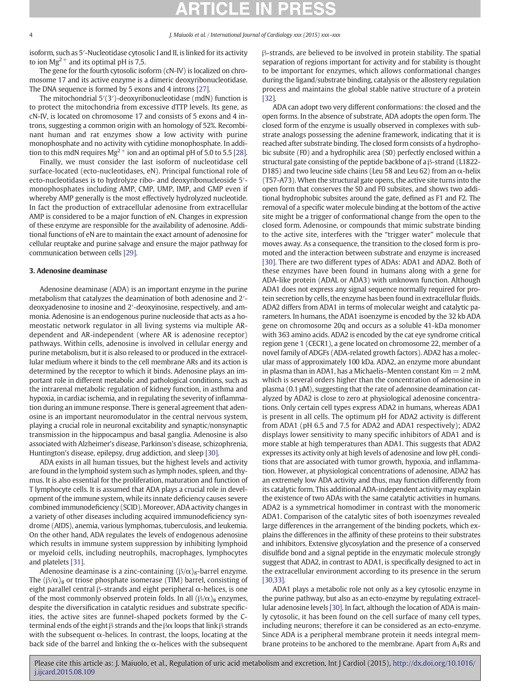isoform, such as 5′-Nucleotidase cytosolic I and II, is linked for its activity to ion  $Mg^{2+}$  and its optimal pH is 7,5.

The gene for the fourth cytosolic isoform (cN-IV) is localized on chromosome 17 and its active enzyme is a dimeric deoxyribonucleotidase. The DNA sequence is formed by 5 exons and 4 introns [\[27\]](#page-5-0).

The mitochondrial 5′(3′)-deoxyribonucleotidase (mdN) function is to protect the mitochondria from excessive dTTP levels. Its gene, as cN-IV, is located on chromosome 17 and consists of 5 exons and 4 introns, suggesting a common origin with an homology of 52%. Recombinant human and rat enzymes show a low activity with purine monophosphate and no activity with cytidine monophosphate. In addition to this mdN requires  $Mg^{2+}$  ion and an optimal pH of 5.0 to 5.5 [\[28\].](#page-5-0)

Finally, we must consider the last isoform of nucleotidase cell surface-located (ecto-nucleotidases, eN). Principal functional role of ecto-nucleotidases is to hydrolyze ribo- and deoxyribonucleoside 5′ monophosphates including AMP, CMP, UMP, IMP, and GMP even if whereby AMP generally is the most effectively hydrolyzed nucleotide. In fact the production of extracellular adenosine from extracellular AMP is considered to be a major function of eN. Changes in expression of these enzyme are responsible for the availability of adenosine. Additional functions of eN are to maintain the exact amount of adenosine for cellular reuptake and purine salvage and ensure the major pathway for communication between cells [\[29\]](#page-5-0).

### 3. Adenosine deaminase

Adenosine deaminase (ADA) is an important enzyme in the purine metabolism that catalyzes the deamination of both adenosine and 2′ deoxyadenosine to inosine and 2′-deoxyinosine, respectively, and ammonia. Adenosine is an endogenous purine nucleoside that acts as a homeostatic network regulator in all living systems via multiple ARdependent and AR-independent (where AR is adenosine receptor) pathways. Within cells, adenosine is involved in cellular energy and purine metabolism, but it is also released to or produced in the extracellular medium where it binds to the cell membrane ARs and its action is determined by the receptor to which it binds. Adenosine plays an important role in different metabolic and pathological conditions, such as the intrarenal metabolic regulation of kidney function, in asthma and hypoxia, in cardiac ischemia, and in regulating the severity of inflammation during an immune response. There is general agreement that adenosine is an important neuromodulator in the central nervous system, playing a crucial role in neuronal excitability and synaptic/nonsynaptic transmission in the hippocampus and basal ganglia. Adenosine is also associated with Alzheimer's disease, Parkinson's disease, schizophrenia, Huntington's disease, epilepsy, drug addiction, and sleep [\[30\].](#page-6-0)

ADA exists in all human tissues, but the highest levels and activity are found in the lymphoid system such as lymph nodes, spleen, and thymus. It is also essential for the proliferation, maturation and function of T lymphocyte cells. It is assumed that ADA plays a crucial role in development of the immune system, while its innate deficiency causes severe combined immunodeficiency (SCID). Moreover, ADA activity changes in a variety of other diseases including acquired immunodeficiency syndrome (AIDS), anemia, various lymphomas, tuberculosis, and leukemia. On the other hand, ADA regulates the levels of endogenous adenosine which results in immune system suppression by inhibiting lymphoid or myeloid cells, including neutrophils, macrophages, lymphocytes and platelets [\[31\].](#page-6-0)

Adenosine deaminase is a zinc-containing  $(\beta/\alpha)_8$ -barrel enzyme. The  $(\beta/\alpha)_8$  or triose phosphate isomerase (TIM) barrel, consisting of eight parallel central  $\beta$ -strands and eight peripheral  $\alpha$ -helices, is one of the most commonly observed protein folds. In all  $(\beta/\alpha)_8$  enzymes, despite the diversification in catalytic residues and substrate specificities, the active sites are funnel-shaped pockets formed by the Cterminal ends of the eight β strands and the βα loops that link β strands with the subsequent  $\alpha$ -helices. In contrast, the loops, locating at the back side of the barrel and linking the  $\alpha$ -helices with the subsequent

β-strands, are believed to be involved in protein stability. The spatial separation of regions important for activity and for stability is thought to be important for enzymes, which allows conformational changes during the ligand/substrate binding, catalysis or the allostery regulation process and maintains the global stable native structure of a protein [\[32\]](#page-6-0).

ADA can adopt two very different conformations: the closed and the open forms. In the absence of substrate, ADA adopts the open form. The closed form of the enzyme is usually observed in complexes with substrate analogs possessing the adenine framework, indicating that it is reached after substrate binding. The closed form consists of a hydrophobic subsite (F0) and a hydrophilic area (S0) perfectly enclosed within a structural gate consisting of the peptide backbone of a β-strand (L1822- D185) and two leucine side chains (Leu 58 and Leu 62) from an  $\alpha$ -helix (T57-A73). When the structural gate opens, the active site turns into the open form that conserves the S0 and F0 subsites, and shows two additional hydrophobic subsites around the gate, defined as F1 and F2. The removal of a specific water molecule binding at the bottom of the active site might be a trigger of conformational change from the open to the closed form. Adenosine, or compounds that mimic substrate binding to the active site, interferes with the "trigger water" molecule that moves away. As a consequence, the transition to the closed form is promoted and the interaction between substrate and enzyme is increased [\[30\]](#page-6-0). There are two different types of ADAs: ADA1 and ADA2. Both of these enzymes have been found in humans along with a gene for ADA-like protein (ADAL or ADA3) with unknown function. Although ADA1 does not express any signal sequence normally required for protein secretion by cells, the enzyme has been found in extracellular fluids. ADA2 differs from ADA1 in terms of molecular weight and catalytic parameters. In humans, the ADA1 isoenzyme is encoded by the 32 kb ADA gene on chromosome 20q and occurs as a soluble 41-kDa monomer with 363 amino acids. ADA2 is encoded by the cat eye syndrome critical region gene 1 (CECR1), a gene located on chromosome 22, member of a novel family of ADGFs (ADA-related growth factors). ADA2 has a molecular mass of approximately 100 kDa. ADA2, an enzyme more abundant in plasma than in ADA1, has a Michaelis–Menten constant  $Km = 2$  mM, which is several orders higher than the concentration of adenosine in plasma (0.1 μM), suggesting that the rate of adenosine deamination catalyzed by ADA2 is close to zero at physiological adenosine concentrations. Only certain cell types express ADA2 in humans, whereas ADA1 is present in all cells. The optimum pH for ADA2 activity is different from ADA1 (pH 6.5 and 7.5 for ADA2 and ADA1 respectively); ADA2 displays lower sensitivity to many specific inhibitors of ADA1 and is more stable at high temperatures than ADA1. This suggests that ADA2 expresses its activity only at high levels of adenosine and low pH, conditions that are associated with tumor growth, hypoxia, and inflammation. However, at physiological concentrations of adenosine, ADA2 has an extremely low ADA activity and thus, may function differently from its catalytic form. This additional ADA-independent activity may explain the existence of two ADAs with the same catalytic activities in humans. ADA2 is a symmetrical homodimer in contrast with the monomeric ADA1. Comparison of the catalytic sites of both isoenzymes revealed large differences in the arrangement of the binding pockets, which explains the differences in the affinity of these proteins to their substrates and inhibitors. Extensive glycosylation and the presence of a conserved disulfide bond and a signal peptide in the enzymatic molecule strongly suggest that ADA2, in contrast to ADA1, is specifically designed to act in the extracellular environment according to its presence in the serum [\[30,33\].](#page-6-0)

ADA1 plays a metabolic role not only as a key cytosolic enzyme in the purine pathway, but also as an ecto-enzyme by regulating extracellular adenosine levels [\[30\]](#page-6-0). In fact, although the location of ADA is mainly cytosolic, it has been found on the cell surface of many cell types, including neurons; therefore it can be considered as an ecto-enzyme. Since ADA is a peripheral membrane protein it needs integral membrane proteins to be anchored to the membrane. Apart from  $A_1Rs$  and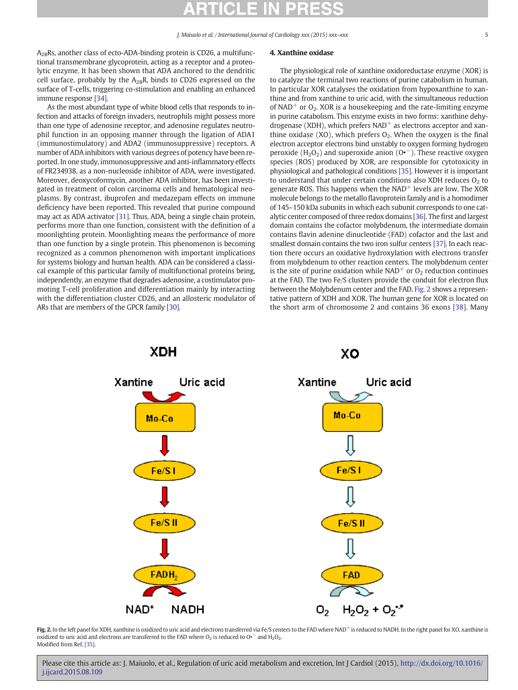$A_{2B}$ Rs, another class of ecto-ADA-binding protein is CD26, a multifunctional transmembrane glycoprotein, acting as a receptor and a proteolytic enzyme. It has been shown that ADA anchored to the dendritic cell surface, probably by the  $A_{2B}R$ , binds to CD26 expressed on the surface of T-cells, triggering co-stimulation and enabling an enhanced immune response [\[34\].](#page-6-0)

As the most abundant type of white blood cells that responds to infection and attacks of foreign invaders, neutrophils might possess more than one type of adenosine receptor, and adenosine regulates neutrophil function in an opposing manner through the ligation of ADA1 (immunostimulatory) and ADA2 (immunosuppressive) receptors. A number of ADA inhibitors with various degrees of potency have been reported. In one study, immunosuppressive and anti-inflammatory effects of FR234938, as a non-nucleoside inhibitor of ADA, were investigated. Moreover, deoxycoformycin, another ADA inhibitor, has been investigated in treatment of colon carcinoma cells and hematological neoplasms. By contrast, ibuprofen and medazepam effects on immune deficiency have been reported. This revealed that purine compound may act as ADA activator [\[31\]](#page-6-0). Thus, ADA, being a single chain protein, performs more than one function, consistent with the definition of a moonlighting protein. Moonlighting means the performance of more than one function by a single protein. This phenomenon is becoming recognized as a common phenomenon with important implications for systems biology and human health. ADA can be considered a classical example of this particular family of multifunctional proteins being, independently, an enzyme that degrades adenosine, a costimulator promoting T-cell proliferation and differentiation mainly by interacting with the differentiation cluster CD26, and an allosteric modulator of ARs that are members of the GPCR family [\[30\].](#page-6-0)

### 4. Xanthine oxidase

The physiological role of xanthine oxidoreductase enzyme (XOR) is to catalyze the terminal two reactions of purine catabolism in human. In particular XOR catalyses the oxidation from hypoxanthine to xanthine and from xanthine to uric acid, with the simultaneous reduction of NAD<sup>+</sup> or  $O_2$ . XOR is a housekeeping and the rate-limiting enzyme in purine catabolism. This enzyme exists in two forms: xanthine dehydrogenase (XDH), which prefers  $NAD<sup>+</sup>$  as electrons acceptor and xanthine oxidase (XO), which prefers  $O_2$ . When the oxygen is the final electron acceptor electrons bind unstably to oxygen forming hydrogen peroxide ( $H_2O_2$ ) and superoxide anion ( $O<sup>+</sup>$ ). These reactive oxygen species (ROS) produced by XOR, are responsible for cytotoxicity in physiological and pathological conditions [\[35\].](#page-6-0) However it is important to understand that under certain conditions also XDH reduces  $O<sub>2</sub>$  to generate ROS. This happens when the  $NAD<sup>+</sup>$  levels are low. The XOR molecule belongs to the metallo flavoprotein family and is a homodimer of 145–150 kDa subunits in which each subunit corresponds to one catalytic center composed of three redox domains [\[36\]](#page-6-0). The first and largest domain contains the cofactor molybdenum, the intermediate domain contains flavin adenine dinucleotide (FAD) cofactor and the last and smallest domain contains the two iron sulfur centers [\[37\].](#page-6-0) In each reaction there occurs an oxidative hydroxylation with electrons transfer from molybdenum to other reaction centers. The molybdenum center is the site of purine oxidation while  $NAD^+$  or  $O<sub>2</sub>$  reduction continues at the FAD. The two Fe/S clusters provide the conduit for electron flux between the Molybdenum center and the FAD. Fig. 2 shows a representative pattern of XDH and XOR. The human gene for XOR is located on the short arm of chromosome 2 and contains 36 exons [\[38\]](#page-6-0). Many



Fig. 2. In the left panel for XDH, xanthine is oxidized to uric acid and electrons transferred via Fe/S centers to the FAD where NAD<sup>+</sup> is reduced to NADH. In the right panel for XO, xanthine is oxidized to uric acid and electrons are transferred to the FAD where  $O_2$  is reduced to  $O^{\bullet-}$  and  $H_2O_2$ . Modified from Ref. [\[35\].](#page-6-0)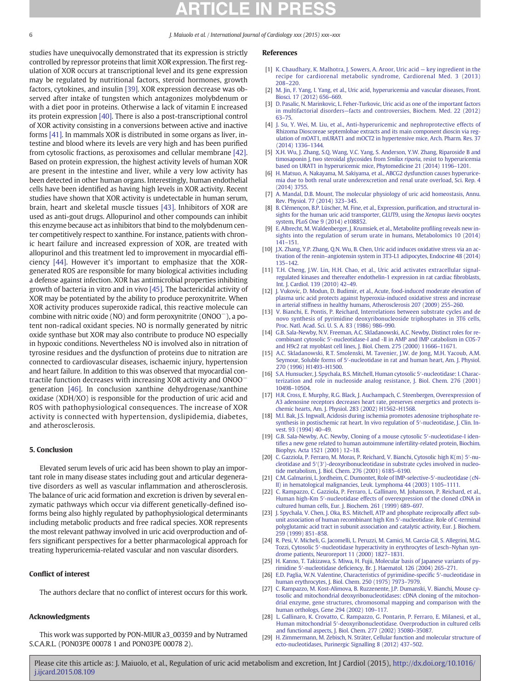<span id="page-5-0"></span>

studies have unequivocally demonstrated that its expression is strictly controlled by repressor proteins that limit XOR expression. The first regulation of XOR occurs at transcriptional level and its gene expression may be regulated by nutritional factors, steroid hormones, growth factors, cytokines, and insulin [\[39\]](#page-6-0). XOR expression decrease was observed after intake of tungsten which antagonizes molybdenum or with a diet poor in proteins. Otherwise a lack of vitamin E increased its protein expression [\[40\]](#page-6-0). There is also a post-transcriptional control of XOR activity consisting in a conversions between active and inactive forms [\[41\]](#page-6-0). In mammals XOR is distributed in some organs as liver, intestine and blood where its levels are very high and has been purified from cytosolic fractions, as peroxisomes and cellular membrane [\[42\].](#page-6-0) Based on protein expression, the highest activity levels of human XOR are present in the intestine and liver, while a very low activity has been detected in other human organs. Interestingly, human endothelial cells have been identified as having high levels in XOR activity. Recent studies have shown that XOR activity is undetectable in human serum, brain, heart and skeletal muscle tissues [\[43\]](#page-6-0). Inhibitors of XOR are used as anti-gout drugs. Allopurinol and other compounds can inhibit this enzyme because act as inhibitors that bind to the molybdenum center competitively respect to xanthine. For instance, patients with chronic heart failure and increased expression of XOR, are treated with allopurinol and this treatment led to improvement in myocardial efficiency [\[44\]](#page-6-0). However it's important to emphasize that the XORgenerated ROS are responsible for many biological activities including a defense against infection. XOR has antimicrobial properties inhibiting growth of bacteria in vitro and in vivo [\[45\].](#page-6-0) The bactericidal activity of XOR may be potentiated by the ability to produce peroxynitrite. When XOR activity produces superoxide radical, this reactive molecule can combine with nitric oxide (NO) and form peroxynitrite (ONOO−), a potent non-radical oxidant species. NO is normally generated by nitric oxide synthase but XOR may also contribute to produce NO especially in hypoxic conditions. Nevertheless NO is involved also in nitration of tyrosine residues and the dysfunction of proteins due to nitration are connected to cardiovascular diseases, ischaemic injury, hypertension and heart failure. In addition to this was observed that myocardial contractile function decreases with increasing XOR activity and ONOO<sup>−</sup> generation [\[46\]](#page-6-0). In conclusion xanthine dehydrogenase/xanthine oxidase (XDH/XO) is responsible for the production of uric acid and ROS with pathophysiological consequences. The increase of XOR activity is connected with hypertension, dyslipidemia, diabetes, and atherosclerosis.

### 5. Conclusion

Elevated serum levels of uric acid has been shown to play an important role in many disease states including gout and articular degenerative disorders as well as vascular inflammation and atherosclerosis. The balance of uric acid formation and excretion is driven by several enzymatic pathways which occur via different genetically-defined isoforms being also highly regulated by pathophysiological determinants including metabolic products and free radical species. XOR represents the most relevant pathway involved in uric acid overproduction and offers significant perspectives for a better pharmacological approach for treating hyperuricemia-related vascular and non vascular disorders.

### Conflict of interest

The authors declare that no conflict of interest occurs for this work.

### Acknowledgments

This work was supported by PON-MIUR a3\_00359 and by Nutramed S.C.A.R.L. (PON03PE 00078 1 and PON03PE 00078 2).

### References

- [1] [K. Chaudhary, K. Malhotra, J. Sowers, A. Aroor, Uric acid](http://refhub.elsevier.com/S0167-5273(15)30342-9/rf0005) key ingredient in the [recipe for cardiorenal metabolic syndrome, Cardiorenal Med. 3 \(2013\)](http://refhub.elsevier.com/S0167-5273(15)30342-9/rf0005) 208–[220.](http://refhub.elsevier.com/S0167-5273(15)30342-9/rf0005)
- [2] M. Jin, F. Yang, J. Yang, et al., Uric acid, hyperuricemia and vascular diseases, Front. [Biosci. 17 \(2012\) 656](http://refhub.elsevier.com/S0167-5273(15)30342-9/rf0010)–669.
- [3] [D. Pasalic, N. Marinkovic, L. Feher-Turkovic, Uric acid as one of the important factors](http://refhub.elsevier.com/S0167-5273(15)30342-9/rf0015) in multifactorial disorders-facts and controversies. Biochem. Med. 22 (2012) [63](http://refhub.elsevier.com/S0167-5273(15)30342-9/rf0015)–75.
- [4] [J. Su, Y. Wei, M. Liu, et al., Anti-hyperuricemic and nephroprotective effects of](http://refhub.elsevier.com/S0167-5273(15)30342-9/rf0020) [Rhizoma Dioscoreae septemlobae extracts and its main component dioscin via reg](http://refhub.elsevier.com/S0167-5273(15)30342-9/rf0020)[ulation of mOAT1, mURAT1 and mOCT2 in hypertensive mice, Arch. Pharm. Res. 37](http://refhub.elsevier.com/S0167-5273(15)30342-9/rf0020) [\(2014\) 1336](http://refhub.elsevier.com/S0167-5273(15)30342-9/rf0020)–1344.
- [5] [X.H. Wu, J. Zhang, S.Q. Wang, V.C. Yang, S. Anderson, Y.W. Zhang, Riparoside B and](http://refhub.elsevier.com/S0167-5273(15)30342-9/rf0025) [timosaponin J, two steroidal glycosides from](http://refhub.elsevier.com/S0167-5273(15)30342-9/rf0025) Smilax riparia, resist to hyperuricemia [based on URAT1 in hyperuricemic mice, Phytomedicine 21 \(2014\) 1196](http://refhub.elsevier.com/S0167-5273(15)30342-9/rf0025)–1201.
- [6] [H. Matsuo, A. Nakayama, M. Sakiyama, et al., ABCG2 dysfunction causes hyperurice](http://refhub.elsevier.com/S0167-5273(15)30342-9/rf0030)[mia due to both renal urate underexcretion and renal urate overload, Sci. Rep. 4](http://refhub.elsevier.com/S0167-5273(15)30342-9/rf0030) [\(2014\) 3755.](http://refhub.elsevier.com/S0167-5273(15)30342-9/rf0030)
- [7] [A. Mandal, D.B. Mount, The molecular physiology of uric acid homeostasis, Annu.](http://refhub.elsevier.com/S0167-5273(15)30342-9/rf0225) [Rev. Physiol. 77 \(2014\) 323](http://refhub.elsevier.com/S0167-5273(15)30342-9/rf0225)–345.
- [8] [B. Clémençon, B.P. Lüscher, M. Fine, et al., Expression, puri](http://refhub.elsevier.com/S0167-5273(15)30342-9/rf0035)fication, and structural in[sights for the human uric acid transporter, GLUT9, using the](http://refhub.elsevier.com/S0167-5273(15)30342-9/rf0035) Xenopus laevis oocytes [system, PLoS One 9 \(2014\) e108852](http://refhub.elsevier.com/S0167-5273(15)30342-9/rf0035).
- [9] [E. Albrecht, M. Waldenberger, J. Krumsiek, et al., Metabolite pro](http://refhub.elsevier.com/S0167-5273(15)30342-9/rf0040)filing reveals new in[sights into the regulation of serum urate in humans, Metabolomics 10 \(2014\)](http://refhub.elsevier.com/S0167-5273(15)30342-9/rf0040) [141](http://refhub.elsevier.com/S0167-5273(15)30342-9/rf0040)–151.
- [10] [J.X. Zhang, Y.P. Zhang, Q.N. Wu, B. Chen, Uric acid induces oxidative stress via an ac](http://refhub.elsevier.com/S0167-5273(15)30342-9/rf0230)tivation of the renin–[angiotensin system in 3T3-L1 adipocytes, Endocrine 48 \(2014\)](http://refhub.elsevier.com/S0167-5273(15)30342-9/rf0230) [135](http://refhub.elsevier.com/S0167-5273(15)30342-9/rf0230)–142.
- [11] [T.H. Cheng, J.W. Lin, H.H. Chao, et al., Uric acid activates extracellular signal](http://refhub.elsevier.com/S0167-5273(15)30342-9/rf0045)[regulated kinases and thereafter endothelin-1 expression in rat cardiac](http://refhub.elsevier.com/S0167-5273(15)30342-9/rf0045) fibroblasts, [Int. J. Cardiol. 139 \(2010\) 42](http://refhub.elsevier.com/S0167-5273(15)30342-9/rf0045)–49.
- [12] [J. Vukovic, D. Modun, D. Budimir, et al., Acute, food-induced moderate elevation of](http://refhub.elsevier.com/S0167-5273(15)30342-9/rf0050) [plasma uric acid protects against hyperoxia-induced oxidative stress and increase](http://refhub.elsevier.com/S0167-5273(15)30342-9/rf0050) [in arterial stiffness in healthy humans, Atherosclerosis 207 \(2009\) 255](http://refhub.elsevier.com/S0167-5273(15)30342-9/rf0050)–260.
- [13] [V. Bianchi, E. Pontis, P. Reichard, Interrelations between substrate cycles and de](http://refhub.elsevier.com/S0167-5273(15)30342-9/rf0055) [novo synthesis of pyrimidine deoxyribonucleoside triphosphates in 3T6 cells,](http://refhub.elsevier.com/S0167-5273(15)30342-9/rf0055) [Proc. Natl. Acad. Sci. U. S. A. 83 \(1986\) 986](http://refhub.elsevier.com/S0167-5273(15)30342-9/rf0055)–990.
- [14] [G.B. Sala-Newby, N.V. Freeman, A.C. Skladanowski, A.C. Newby, Distinct roles for re](http://refhub.elsevier.com/S0167-5273(15)30342-9/rf0060)combinant cytosolic 5′[-nucleotidase-I and -II in AMP and IMP catabolism in COS-7](http://refhub.elsevier.com/S0167-5273(15)30342-9/rf0060) [and H9c2 rat myoblast cell lines, J. Biol. Chem. 275 \(2000\) 11666](http://refhub.elsevier.com/S0167-5273(15)30342-9/rf0060)–11671.
- [15] [A.C. Skladanowski, R.T. Smolenski, M. Tavenier, J.W. de Jong, M.H. Yacoub, A.M.](http://refhub.elsevier.com/S0167-5273(15)30342-9/rf0065) Seymour, Soluble forms of 5′[-nucleotidase in rat and human heart, Am. J. Physiol.](http://refhub.elsevier.com/S0167-5273(15)30342-9/rf0065) [270 \(1996\) H1493](http://refhub.elsevier.com/S0167-5273(15)30342-9/rf0065)–H1500.
- [16] [S.A. Hunsucker, J. Spychala, B.S. Mitchell, Human cytosolic 5](http://refhub.elsevier.com/S0167-5273(15)30342-9/rf0070)′-nucleotidase: I. Charac[terization and role in nucleoside analog resistance, J. Biol. Chem. 276 \(2001\)](http://refhub.elsevier.com/S0167-5273(15)30342-9/rf0070) [10498](http://refhub.elsevier.com/S0167-5273(15)30342-9/rf0070)–10504.
- [17] [H.R. Cross, E. Murphy, R.G. Black, J. Auchampach, C. Steenbergen, Overexpression of](http://refhub.elsevier.com/S0167-5273(15)30342-9/rf0075) [A3 adenosine receptors decreases heart rate, preserves energetics and protects is](http://refhub.elsevier.com/S0167-5273(15)30342-9/rf0075)[chemic hearts, Am. J. Physiol. 283 \(2002\) H1562](http://refhub.elsevier.com/S0167-5273(15)30342-9/rf0075)–H1568.
- [18] [M.I. Bak, J.S. Ingwall, Acidosis during ischemia promotes adenosine triphosphate re](http://refhub.elsevier.com/S0167-5273(15)30342-9/rf0080)[synthesis in postischemic rat heart. In vivo regulation of 5](http://refhub.elsevier.com/S0167-5273(15)30342-9/rf0080)'-nucleotidase, J. Clin. In[vest. 93 \(1994\) 40](http://refhub.elsevier.com/S0167-5273(15)30342-9/rf0080)-49
- [19] [G.B. Sala-Newby, A.C. Newby, Cloning of a mouse cytosolic 5](http://refhub.elsevier.com/S0167-5273(15)30342-9/rf0085)'-nucleotidase-I identifi[es a new gene related to human autoimmune infertility-related protein, Biochim.](http://refhub.elsevier.com/S0167-5273(15)30342-9/rf0085) [Biophys. Acta 1521 \(2001\) 12](http://refhub.elsevier.com/S0167-5273(15)30342-9/rf0085)–18.
- [20] [C. Gazziola, P. Ferraro, M. Moras, P. Reichard, V. Bianchi, Cytosolic high K\(m\) 5](http://refhub.elsevier.com/S0167-5273(15)30342-9/rf0090)′-nucleotidase and 5′(3′[\)-deoxyribonucleotidase in substrate cycles involved in nucleo](http://refhub.elsevier.com/S0167-5273(15)30342-9/rf0090)[tide metabolism, J. Biol. Chem. 276 \(2001\) 6185](http://refhub.elsevier.com/S0167-5273(15)30342-9/rf0090)–6190.
- [21] [C.M. Galmarini, L. Jordheim, C. Dumontet, Role of IMP-selective-5](http://refhub.elsevier.com/S0167-5273(15)30342-9/rf0095)′-nucleotidase (cN-[II\) in hematological malignancies, Leuk. Lymphoma 44 \(2003\) 1105](http://refhub.elsevier.com/S0167-5273(15)30342-9/rf0095)–1111.
- [22] [C. Rampazzo, C. Gazziola, P. Ferraro, L. Gallinaro, M. Johansson, P. Reichard, et al.,](http://refhub.elsevier.com/S0167-5273(15)30342-9/rf0100) Human high-Km 5′[-nucleotidase effects of overexpression of the cloned cDNA in](http://refhub.elsevier.com/S0167-5273(15)30342-9/rf0100) [cultured human cells, Eur. J. Biochem. 261 \(1999\) 689](http://refhub.elsevier.com/S0167-5273(15)30342-9/rf0100)–697.
- [23] [J. Spychala, V. Chen, J. Oka, B.S. Mitchell, ATP and phosphate reciprocally affect sub](http://refhub.elsevier.com/S0167-5273(15)30342-9/rf0105)[unit association of human recombinant high Km 5](http://refhub.elsevier.com/S0167-5273(15)30342-9/rf0105)′-nucleotidase. Role of C-terminal [polyglutamic acid tract in subunit association and catalytic activity, Eur. J. Biochem.](http://refhub.elsevier.com/S0167-5273(15)30342-9/rf0105) [259 \(1999\) 851](http://refhub.elsevier.com/S0167-5273(15)30342-9/rf0105)–858.
- [24] [R. Pesi, V. Micheli, G. Jacomelli, L. Peruzzi, M. Camici, M. Garcia-Gil, S. Allegrini, M.G.](http://refhub.elsevier.com/S0167-5273(15)30342-9/rf0110) Tozzi, Cytosolic 5′[-nucleotidase hyperactivity in erythrocytes of Lesch](http://refhub.elsevier.com/S0167-5273(15)30342-9/rf0110)–Nyhan syn[drome patients, Neuroreport 11 \(2000\) 1827](http://refhub.elsevier.com/S0167-5273(15)30342-9/rf0110)–1831.
- [25] [H. Kanno, T. Takizawa, S. Miwa, H. Fujii, Molecular basis of Japanese variants of py](http://refhub.elsevier.com/S0167-5273(15)30342-9/rf0115)rimidine 5′-nucleotidase defi[ciency, Br. J. Haematol. 126 \(2004\) 265](http://refhub.elsevier.com/S0167-5273(15)30342-9/rf0115)–271.
- [26] [E.D. Paglia, W.N. Valentine, Characteristics of pyrimidine-speci](http://refhub.elsevier.com/S0167-5273(15)30342-9/rf0120)fic 5'-nucleotidase in [human erythrocytes, J. Biol. Chem. 250 \(1975\) 7973](http://refhub.elsevier.com/S0167-5273(15)30342-9/rf0120)–7979.
- [27] [C. Rampazzo, M. Kost-Alimova, B. Ruzzenente, J.P. Dumanski, V. Bianchi, Mouse cy](http://refhub.elsevier.com/S0167-5273(15)30342-9/rf0125)[tosolic and mitochondrial deoxyribonucleotidases: cDNA cloning of the mitochon](http://refhub.elsevier.com/S0167-5273(15)30342-9/rf0125)[drial enzyme, gene structures, chromosomal mapping and comparison with the](http://refhub.elsevier.com/S0167-5273(15)30342-9/rf0125) [human orthologs, Gene 294 \(2002\) 109](http://refhub.elsevier.com/S0167-5273(15)30342-9/rf0125)–117.
- [28] [L. Gallinaro, K. Crovatto, C. Rampazzo, G. Pontarin, P. Ferraro, E. Milanesi, et al.,](http://refhub.elsevier.com/S0167-5273(15)30342-9/rf0130) Human mitochondrial 5′[-deoxyribonucleotidase. Overproduction in cultured cells](http://refhub.elsevier.com/S0167-5273(15)30342-9/rf0130) [and functional aspects, J. Biol. Chem. 277 \(2002\) 35080](http://refhub.elsevier.com/S0167-5273(15)30342-9/rf0130)–35087.
- [29] [H. Zimmermann, M. Zebisch, N. Sträter, Cellular function and molecular structure of](http://refhub.elsevier.com/S0167-5273(15)30342-9/rf0135) [ecto-nucleotidases, Purinergic Signalling 8 \(2012\) 437](http://refhub.elsevier.com/S0167-5273(15)30342-9/rf0135)–502.